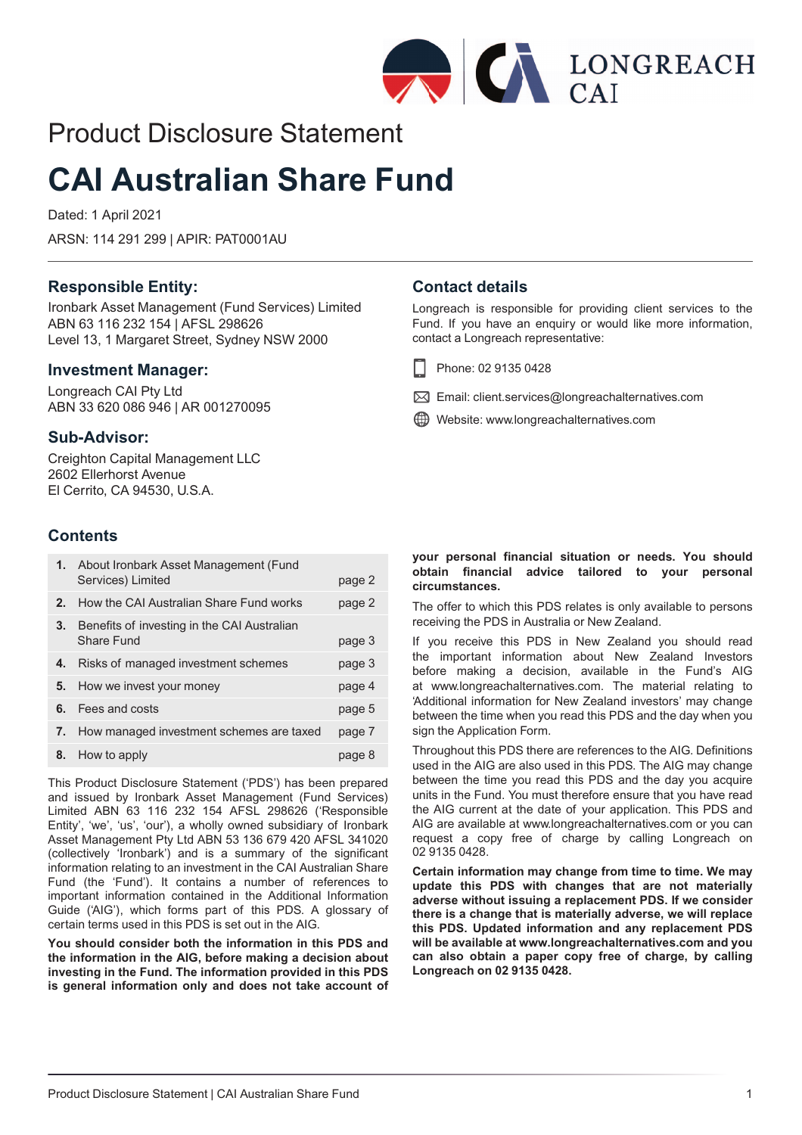

# Product Disclosure Statement

# **CAI Australian Share Fund**

Dated: 1 April 2021

ARSN: 114 291 299 | APIR: PAT0001AU

# **Responsible Entity:**

Ironbark Asset Management (Fund Services) Limited ABN 63 116 232 154 | AFSL 298626 Level 13, 1 Margaret Street, Sydney NSW 2000

# **Investment Manager:**

Longreach CAI Pty Ltd ABN 33 620 086 946 | AR 001270095

# **Sub-Advisor:**

Creighton Capital Management LLC 2602 Ellerhorst Avenue El Cerrito, CA 94530, U.S.A.

# **Contents**

|    | 1. About Ironbark Asset Management (Fund<br>Services) Limited | page 2 |
|----|---------------------------------------------------------------|--------|
| 2. | How the CAI Australian Share Fund works                       | page 2 |
| 3. | Benefits of investing in the CAI Australian<br>Share Fund     | page 3 |
| 4. | Risks of managed investment schemes                           | page 3 |
| 5. | How we invest your money                                      | page 4 |
| 6. | Fees and costs                                                | page 5 |
| 7. | How managed investment schemes are taxed                      | page 7 |
| 8. | How to apply                                                  | page 8 |

This Product Disclosure Statement ('PDS') has been prepared and issued by Ironbark Asset Management (Fund Services) Limited ABN 63 116 232 154 AFSL 298626 ('Responsible Entity', 'we', 'us', 'our'), a wholly owned subsidiary of Ironbark Asset Management Pty Ltd ABN 53 136 679 420 AFSL 341020 (collectively 'Ironbark') and is a summary of the significant information relating to an investment in the CAI Australian Share Fund (the 'Fund'). It contains a number of references to important information contained in the Additional Information Guide ('AIG'), which forms part of this PDS. A glossary of certain terms used in this PDS is set out in the AIG.

**You should consider both the information in this PDS and the information in the AIG, before making a decision about investing in the Fund. The information provided in this PDS is general information only and does not take account of**

# **Contact details**

Longreach is responsible for providing client services to the Fund. If you have an enquiry or would like more information, contact a Longreach representative:

- Phone: 02 9135 0428 H
- $\boxtimes$  Email: client.services@longreachalternatives.com
- Website: www.longreachalternatives.com

# **your personal financial situation or needs. You should obtain financial advice tailored to your personal circumstances.**

The offer to which this PDS relates is only available to persons receiving the PDS in Australia or New Zealand.

If you receive this PDS in New Zealand you should read the important information about New Zealand Investors before making a decision, available in the Fund's AIG at www.longreachalternatives.com. The material relating to 'Additional information for New Zealand investors' may change between the time when you read this PDS and the day when you sign the Application Form.

Throughout this PDS there are references to the AIG. Definitions used in the AIG are also used in this PDS. The AIG may change between the time you read this PDS and the day you acquire units in the Fund. You must therefore ensure that you have read the AIG current at the date of your application. This PDS and AIG are available at www.longreachalternatives.com or you can request a copy free of charge by calling Longreach on 02 9135 0428.

**Certain information may change from time to time. We may update this PDS with changes that are not materially adverse without issuing a replacement PDS. If we consider there is a change that is materially adverse, we will replace this PDS. Updated information and any replacement PDS will be available at www.longreachalternatives.com and you can also obtain a paper copy free of charge, by calling Longreach on 02 9135 0428.**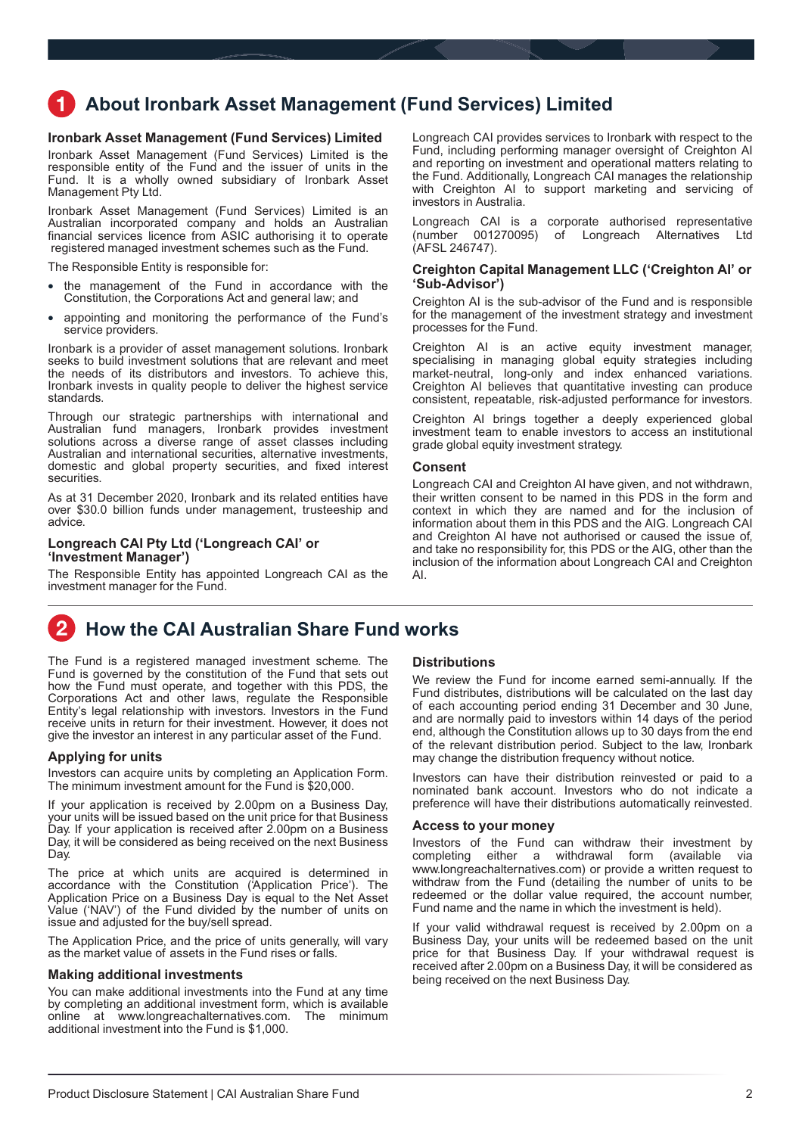# <span id="page-1-0"></span>**About Ironbark Asset Management (Fund Services) Limited**

# **Ironbark Asset Management (Fund Services) Limited**

Ironbark Asset Management (Fund Services) Limited is the responsible entity of the Fund and the issuer of units in the Fund. It is a wholly owned subsidiary of Ironbark Asset Management Pty Ltd.

Ironbark Asset Management (Fund Services) Limited is an Australian incorporated company and holds an Australian financial services licence from ASIC authorising it to operate registered managed investment schemes such as the Fund.

The Responsible Entity is responsible for:

- the management of the Fund in accordance with the Constitution, the Corporations Act and general law; and
- appointing and monitoring the performance of the Fund's service providers.

Ironbark is a provider of asset management solutions. Ironbark seeks to build investment solutions that are relevant and meet the needs of its distributors and investors. To achieve this, Ironbark invests in quality people to deliver the highest service standards.

Through our strategic partnerships with international and Australian fund managers, Ironbark provides investment solutions across a diverse range of asset classes including Australian and international securities, alternative investments, domestic and global property securities, and fixed interest securities.

As at 31 December 2020, Ironbark and its related entities have over \$30.0 billion funds under management, trusteeship and advice.

### **Longreach CAI Pty Ltd ('Longreach CAI' or 'Investment Manager')**

The Responsible Entity has appointed Longreach CAI as the investment manager for the Fund.

Longreach CAI provides services to Ironbark with respect to the Fund, including performing manager oversight of Creighton AI and reporting on investment and operational matters relating to the Fund. Additionally, Longreach CAI manages the relationship with Creighton AI to support marketing and servicing of investors in Australia.

Longreach CAI is a corporate authorised representative  $(number \ 001270095)$  of Longreach Alternatives (AFSL 246747).

# **Creighton Capital Management LLC ('Creighton AI' or 'Sub-Advisor')**

Creighton AI is the sub-advisor of the Fund and is responsible for the management of the investment strategy and investment processes for the Fund.

Creighton AI is an active equity investment manager, specialising in managing global equity strategies including market-neutral, long-only and index enhanced variations. Creighton AI believes that quantitative investing can produce consistent, repeatable, risk-adjusted performance for investors.

Creighton AI brings together a deeply experienced global investment team to enable investors to access an institutional grade global equity investment strategy.

#### **Consent**

Longreach CAI and Creighton AI have given, and not withdrawn, their written consent to be named in this PDS in the form and context in which they are named and for the inclusion of information about them in this PDS and the AIG. Longreach CAI and Creighton AI have not authorised or caused the issue of, and take no responsibility for, this PDS or the AIG, other than the inclusion of the information about Longreach CAI and Creighton AI.

#### $\overline{2}$ **How the CAI Australian Share Fund works**

The Fund is a registered managed investment scheme. The Fund is governed by the constitution of the Fund that sets out how the Fund must operate, and together with this PDS, the Corporations Act and other laws, regulate the Responsible Entity's legal relationship with investors. Investors in the Fund receive units in return for their investment. However, it does not give the investor an interest in any particular asset of the Fund.

# **Applying for units**

Investors can acquire units by completing an Application Form. The minimum investment amount for the Fund is \$20,000.

If your application is received by 2.00pm on a Business Day, your units will be issued based on the unit price for that Business Day. If your application is received after 2.00pm on a Business Day, it will be considered as being received on the next Business Day.

The price at which units are acquired is determined in accordance with the Constitution ('Application Price'). The Application Price on a Business Day is equal to the Net Asset Value ('NAV') of the Fund divided by the number of units on issue and adjusted for the buy/sell spread.

The Application Price, and the price of units generally, will vary as the market value of assets in the Fund rises or falls.

#### **Making additional investments**

You can make additional investments into the Fund at any time by completing an additional investment form, which is available online at www.longreachalternatives.com. The minimum online at www.longreachalternatives.com. additional investment into the Fund is \$1,000.

## **Distributions**

We review the Fund for income earned semi-annually. If the Fund distributes, distributions will be calculated on the last day of each accounting period ending 31 December and 30 June, and are normally paid to investors within 14 days of the period end, although the Constitution allows up to 30 days from the end of the relevant distribution period. Subject to the law, Ironbark may change the distribution frequency without notice.

Investors can have their distribution reinvested or paid to a nominated bank account. Investors who do not indicate a preference will have their distributions automatically reinvested.

# **Access to your money**

Investors of the Fund can withdraw their investment by completing either a withdrawal form (available via www.longreachalternatives.com) or provide a written request to withdraw from the Fund (detailing the number of units to be redeemed or the dollar value required, the account number, Fund name and the name in which the investment is held).

If your valid withdrawal request is received by 2.00pm on a Business Day, your units will be redeemed based on the unit price for that Business Day. If your withdrawal request is received after 2.00pm on a Business Day, it will be considered as being received on the next Business Day.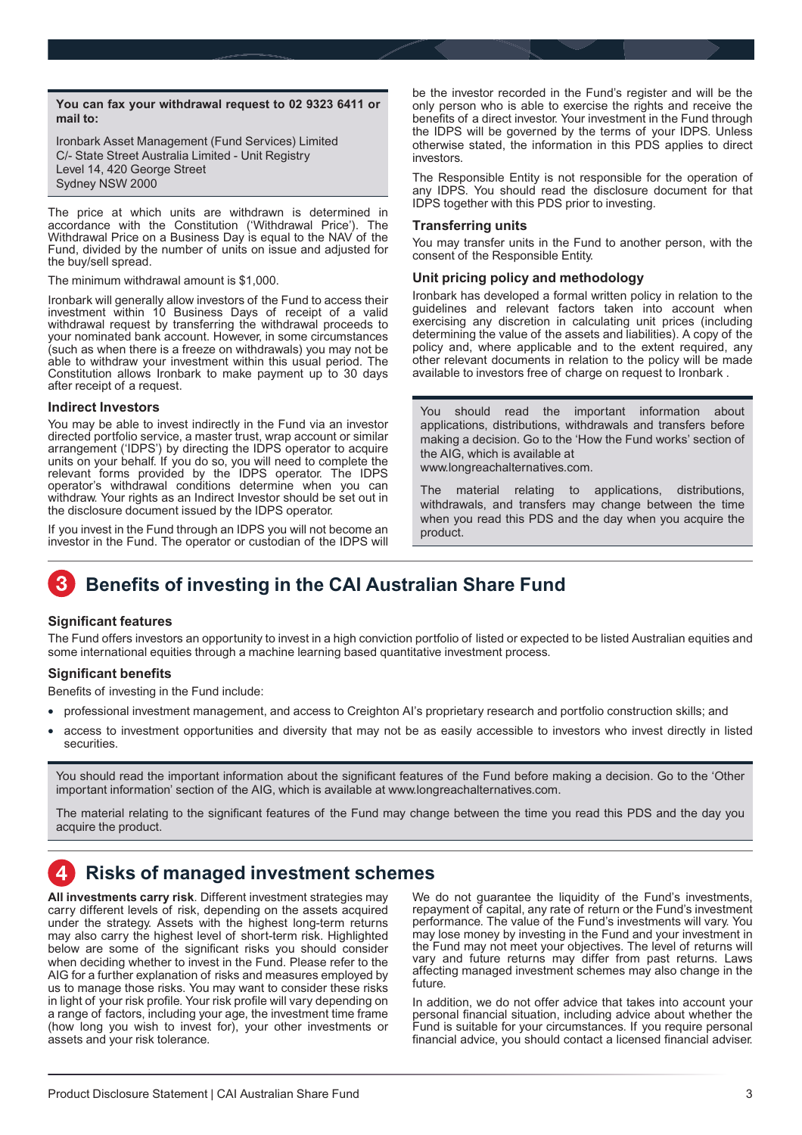<span id="page-2-0"></span>**You can fax your withdrawal request to 02 9323 6411 or mail to:**

Ironbark Asset Management (Fund Services) Limited C/- State Street Australia Limited - Unit Registry Level 14, 420 George Street Sydney NSW 2000

The price at which units are withdrawn is determined in accordance with the Constitution ('Withdrawal Price'). The Withdrawal Price on a Business Day is equal to the NAV of the Fund, divided by the number of units on issue and adjusted for the buy/sell spread.

The minimum withdrawal amount is \$1,000.

Ironbark will generally allow investors of the Fund to access their investment within 10 Business Days of receipt of a valid withdrawal request by transferring the withdrawal proceeds to your nominated bank account. However, in some circumstances (such as when there is a freeze on withdrawals) you may not be able to withdraw your investment within this usual period. The Constitution allows Ironbark to make payment up to 30 days after receipt of a request.

### **Indirect Investors**

You may be able to invest indirectly in the Fund via an investor directed portfolio service, a master trust, wrap account or similar arrangement ('IDPS') by directing the IDPS operator to acquire units on your behalf. If you do so, you will need to complete the relevant forms provided by the IDPS operator. The IDPS operator's withdrawal conditions determine when you can withdraw. Your rights as an Indirect Investor should be set out in the disclosure document issued by the IDPS operator.

If you invest in the Fund through an IDPS you will not become an investor in the Fund. The operator or custodian of the IDPS will be the investor recorded in the Fund's register and will be the only person who is able to exercise the rights and receive the benefits of a direct investor. Your investment in the Fund through the IDPS will be governed by the terms of your IDPS. Unless otherwise stated, the information in this PDS applies to direct investors.

The Responsible Entity is not responsible for the operation of any IDPS. You should read the disclosure document for that IDPS together with this PDS prior to investing.

#### **Transferring units**

You may transfer units in the Fund to another person, with the consent of the Responsible Entity.

# **Unit pricing policy and methodology**

Ironbark has developed a formal written policy in relation to the guidelines and relevant factors taken into account when exercising any discretion in calculating unit prices (including determining the value of the assets and liabilities). A copy of the policy and, where applicable and to the extent required, any other relevant documents in relation to the policy will be made available to investors free of charge on request to Ironbark .

You should read the important information about applications, distributions, withdrawals and transfers before making a decision. Go to the 'How the Fund works' section of the AIG, which is available at www.longreachalternatives.com.

The material relating to applications, distributions, withdrawals, and transfers may change between the time when you read this PDS and the day when you acquire the product.

# **Benefits of investing in the CAI Australian Share Fund**

# **Significant features**

The Fund offers investors an opportunity to invest in a high conviction portfolio of listed or expected to be listed Australian equities and some international equities through a machine learning based quantitative investment process.

# **Significant benefits**

Benefits of investing in the Fund include:

- professional investment management, and access to Creighton AI's proprietary research and portfolio construction skills; and
- access to investment opportunities and diversity that may not be as easily accessible to investors who invest directly in listed securities.

You should read the important information about the significant features of the Fund before making a decision. Go to the 'Other important information' section of the AIG, which is available at www.longreachalternatives.com.

The material relating to the significant features of the Fund may change between the time you read this PDS and the day you acquire the product.

# **Risks of managed investment schemes**

**All investments carry risk**. Different investment strategies may carry different levels of risk, depending on the assets acquired under the strategy. Assets with the highest long-term returns may also carry the highest level of short-term risk. Highlighted below are some of the significant risks you should consider when deciding whether to invest in the Fund. Please refer to the AIG for a further explanation of risks and measures employed by us to manage those risks. You may want to consider these risks in light of your risk profile. Your risk profile will vary depending on a range of factors, including your age, the investment time frame (how long you wish to invest for), your other investments or assets and your risk tolerance.

We do not guarantee the liquidity of the Fund's investments, repayment of capital, any rate of return or the Fund's investment performance. The value of the Fund's investments will vary. You may lose money by investing in the Fund and your investment in the Fund may not meet your objectives. The level of returns will vary and future returns may differ from past returns. Laws affecting managed investment schemes may also change in the future.

In addition, we do not offer advice that takes into account your personal financial situation, including advice about whether the Fund is suitable for your circumstances. If you require personal financial advice, you should contact a licensed financial adviser.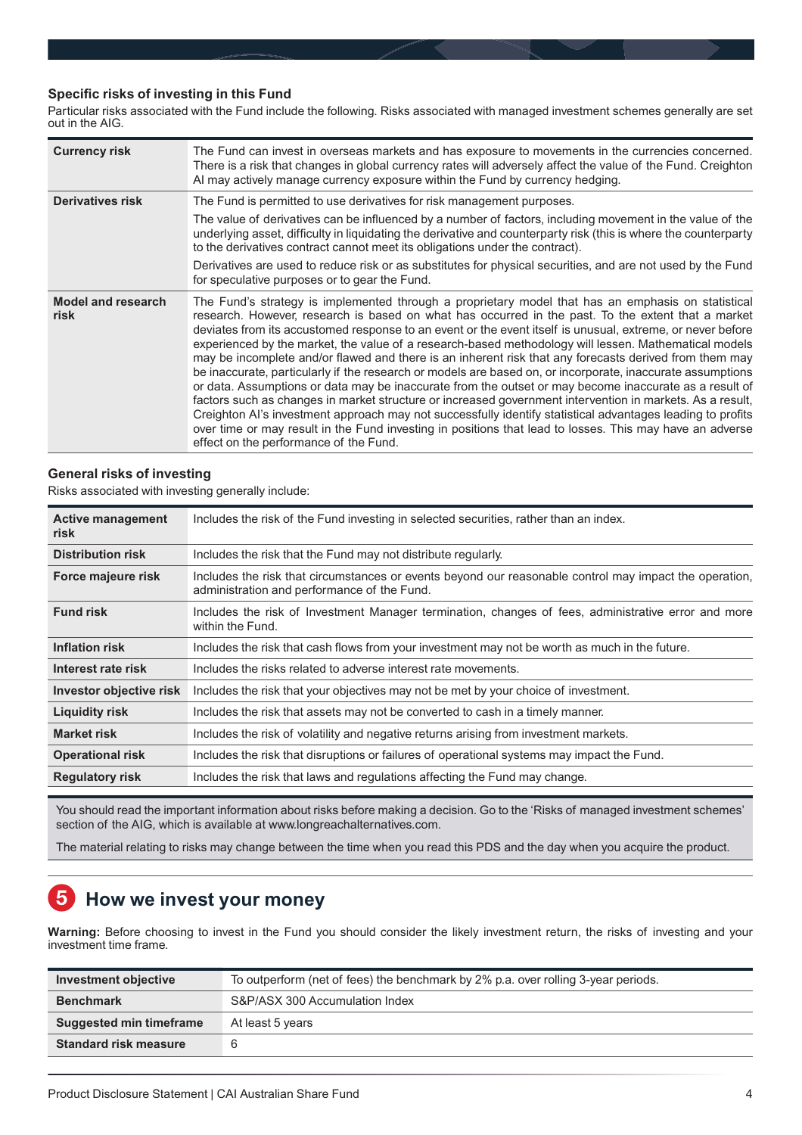# <span id="page-3-0"></span>**Specific risks of investing in this Fund**

Particular risks associated with the Fund include the following. Risks associated with managed investment schemes generally are set out in the AIG.

| <b>Currency risk</b>              | The Fund can invest in overseas markets and has exposure to movements in the currencies concerned.<br>There is a risk that changes in global currency rates will adversely affect the value of the Fund. Creighton<br>Al may actively manage currency exposure within the Fund by currency hedging.                                                                                                                                                                                                                                                                                                                                                                                                                                                                                                                                                                                                                                                                                                                                                                                                                                                |
|-----------------------------------|----------------------------------------------------------------------------------------------------------------------------------------------------------------------------------------------------------------------------------------------------------------------------------------------------------------------------------------------------------------------------------------------------------------------------------------------------------------------------------------------------------------------------------------------------------------------------------------------------------------------------------------------------------------------------------------------------------------------------------------------------------------------------------------------------------------------------------------------------------------------------------------------------------------------------------------------------------------------------------------------------------------------------------------------------------------------------------------------------------------------------------------------------|
| <b>Derivatives risk</b>           | The Fund is permitted to use derivatives for risk management purposes.<br>The value of derivatives can be influenced by a number of factors, including movement in the value of the                                                                                                                                                                                                                                                                                                                                                                                                                                                                                                                                                                                                                                                                                                                                                                                                                                                                                                                                                                |
|                                   | underlying asset, difficulty in liquidating the derivative and counterparty risk (this is where the counterparty<br>to the derivatives contract cannot meet its obligations under the contract).                                                                                                                                                                                                                                                                                                                                                                                                                                                                                                                                                                                                                                                                                                                                                                                                                                                                                                                                                   |
|                                   | Derivatives are used to reduce risk or as substitutes for physical securities, and are not used by the Fund<br>for speculative purposes or to gear the Fund.                                                                                                                                                                                                                                                                                                                                                                                                                                                                                                                                                                                                                                                                                                                                                                                                                                                                                                                                                                                       |
| <b>Model and research</b><br>risk | The Fund's strategy is implemented through a proprietary model that has an emphasis on statistical<br>research. However, research is based on what has occurred in the past. To the extent that a market<br>deviates from its accustomed response to an event or the event itself is unusual, extreme, or never before<br>experienced by the market, the value of a research-based methodology will lessen. Mathematical models<br>may be incomplete and/or flawed and there is an inherent risk that any forecasts derived from them may<br>be inaccurate, particularly if the research or models are based on, or incorporate, inaccurate assumptions<br>or data. Assumptions or data may be inaccurate from the outset or may become inaccurate as a result of<br>factors such as changes in market structure or increased government intervention in markets. As a result,<br>Creighton AI's investment approach may not successfully identify statistical advantages leading to profits<br>over time or may result in the Fund investing in positions that lead to losses. This may have an adverse<br>effect on the performance of the Fund. |

# **General risks of investing**

Risks associated with investing generally include:

| <b>Active management</b><br>risk | Includes the risk of the Fund investing in selected securities, rather than an index.                                                                 |
|----------------------------------|-------------------------------------------------------------------------------------------------------------------------------------------------------|
| <b>Distribution risk</b>         | Includes the risk that the Fund may not distribute regularly.                                                                                         |
| Force majeure risk               | Includes the risk that circumstances or events beyond our reasonable control may impact the operation,<br>administration and performance of the Fund. |
| <b>Fund risk</b>                 | Includes the risk of Investment Manager termination, changes of fees, administrative error and more<br>within the Fund.                               |
| <b>Inflation risk</b>            | Includes the risk that cash flows from your investment may not be worth as much in the future.                                                        |
| Interest rate risk               | Includes the risks related to adverse interest rate movements.                                                                                        |
| Investor objective risk          | Includes the risk that your objectives may not be met by your choice of investment.                                                                   |
| <b>Liquidity risk</b>            | Includes the risk that assets may not be converted to cash in a timely manner.                                                                        |
| <b>Market risk</b>               | Includes the risk of volatility and negative returns arising from investment markets.                                                                 |
| <b>Operational risk</b>          | Includes the risk that disruptions or failures of operational systems may impact the Fund.                                                            |
| <b>Regulatory risk</b>           | Includes the risk that laws and regulations affecting the Fund may change.                                                                            |

You should read the important information about risks before making a decision. Go to the 'Risks of managed investment schemes' section of the AIG, which is available at www.longreachalternatives.com.

The material relating to risks may change between the time when you read this PDS and the day when you acquire the product.

#### 5 **How we invest your money**

**Warning:** Before choosing to invest in the Fund you should consider the likely investment return, the risks of investing and your investment time frame.

| Investment objective           | To outperform (net of fees) the benchmark by 2% p.a. over rolling 3-year periods. |
|--------------------------------|-----------------------------------------------------------------------------------|
| <b>Benchmark</b>               | S&P/ASX 300 Accumulation Index                                                    |
| <b>Suggested min timeframe</b> | At least 5 years                                                                  |
| <b>Standard risk measure</b>   | 6                                                                                 |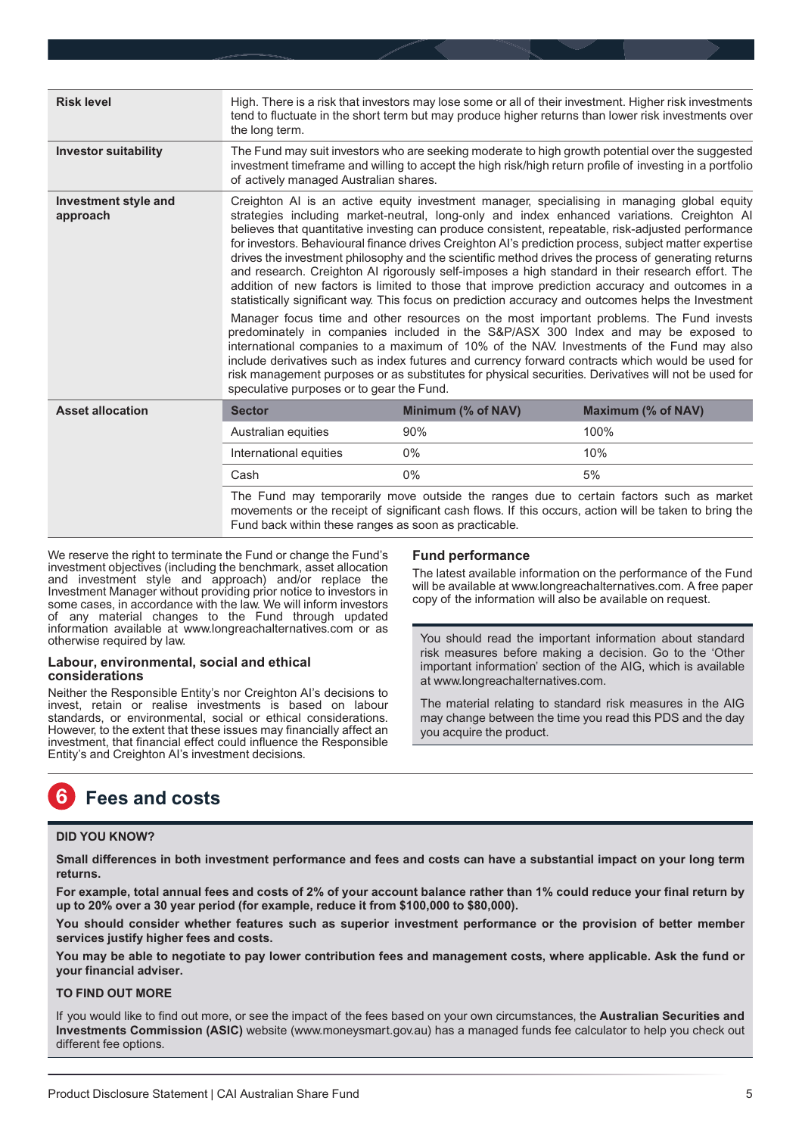<span id="page-4-0"></span>

| <b>Risk level</b>                       | High. There is a risk that investors may lose some or all of their investment. Higher risk investments<br>tend to fluctuate in the short term but may produce higher returns than lower risk investments over<br>the long term.                                                                                                                                                                                                                                                                                                                                                                                                                                                                                                                                                                                                                                                                                                                                                                                                                                                                                                                                                                                                                                                                                                                                   |                                                                                                       |                                                                                        |
|-----------------------------------------|-------------------------------------------------------------------------------------------------------------------------------------------------------------------------------------------------------------------------------------------------------------------------------------------------------------------------------------------------------------------------------------------------------------------------------------------------------------------------------------------------------------------------------------------------------------------------------------------------------------------------------------------------------------------------------------------------------------------------------------------------------------------------------------------------------------------------------------------------------------------------------------------------------------------------------------------------------------------------------------------------------------------------------------------------------------------------------------------------------------------------------------------------------------------------------------------------------------------------------------------------------------------------------------------------------------------------------------------------------------------|-------------------------------------------------------------------------------------------------------|----------------------------------------------------------------------------------------|
| <b>Investor suitability</b>             | The Fund may suit investors who are seeking moderate to high growth potential over the suggested<br>investment timeframe and willing to accept the high risk/high return profile of investing in a portfolio<br>of actively managed Australian shares.                                                                                                                                                                                                                                                                                                                                                                                                                                                                                                                                                                                                                                                                                                                                                                                                                                                                                                                                                                                                                                                                                                            |                                                                                                       |                                                                                        |
| <b>Investment style and</b><br>approach | Creighton AI is an active equity investment manager, specialising in managing global equity<br>strategies including market-neutral, long-only and index enhanced variations. Creighton AI<br>believes that quantitative investing can produce consistent, repeatable, risk-adjusted performance<br>for investors. Behavioural finance drives Creighton AI's prediction process, subject matter expertise<br>drives the investment philosophy and the scientific method drives the process of generating returns<br>and research. Creighton AI rigorously self-imposes a high standard in their research effort. The<br>addition of new factors is limited to those that improve prediction accuracy and outcomes in a<br>statistically significant way. This focus on prediction accuracy and outcomes helps the Investment<br>Manager focus time and other resources on the most important problems. The Fund invests<br>predominately in companies included in the S&P/ASX 300 Index and may be exposed to<br>international companies to a maximum of 10% of the NAV. Investments of the Fund may also<br>include derivatives such as index futures and currency forward contracts which would be used for<br>risk management purposes or as substitutes for physical securities. Derivatives will not be used for<br>speculative purposes or to gear the Fund. |                                                                                                       |                                                                                        |
| <b>Asset allocation</b>                 | <b>Sector</b>                                                                                                                                                                                                                                                                                                                                                                                                                                                                                                                                                                                                                                                                                                                                                                                                                                                                                                                                                                                                                                                                                                                                                                                                                                                                                                                                                     | Minimum (% of NAV)                                                                                    | Maximum (% of NAV)                                                                     |
|                                         | Australian equities                                                                                                                                                                                                                                                                                                                                                                                                                                                                                                                                                                                                                                                                                                                                                                                                                                                                                                                                                                                                                                                                                                                                                                                                                                                                                                                                               | 90%                                                                                                   | 100%                                                                                   |
|                                         | International equities                                                                                                                                                                                                                                                                                                                                                                                                                                                                                                                                                                                                                                                                                                                                                                                                                                                                                                                                                                                                                                                                                                                                                                                                                                                                                                                                            | $0\%$                                                                                                 | 10%                                                                                    |
|                                         | Cash                                                                                                                                                                                                                                                                                                                                                                                                                                                                                                                                                                                                                                                                                                                                                                                                                                                                                                                                                                                                                                                                                                                                                                                                                                                                                                                                                              | $0\%$                                                                                                 | 5%                                                                                     |
|                                         | Fund back within these ranges as soon as practicable.                                                                                                                                                                                                                                                                                                                                                                                                                                                                                                                                                                                                                                                                                                                                                                                                                                                                                                                                                                                                                                                                                                                                                                                                                                                                                                             | movements or the receipt of significant cash flows. If this occurs, action will be taken to bring the | The Fund may temporarily move outside the ranges due to certain factors such as market |

We reserve the right to terminate the Fund or change the Fund's investment objectives (including the benchmark, asset allocation and investment style and approach) and/or replace the Investment Manager without providing prior notice to investors in some cases, in accordance with the law. We will inform investors of any material changes to the Fund through updated information available at www.longreachalternatives.com or as otherwise required by law.

# **Labour, environmental, social and ethical considerations**

Neither the Responsible Entity's nor Creighton AI's decisions to invest, retain or realise investments is based on labour standards, or environmental, social or ethical considerations. However, to the extent that these issues may financially affect an investment, that financial effect could influence the Responsible Entity's and Creighton AI's investment decisions.

# **Fund performance**

The latest available information on the performance of the Fund will be available at www.longreachalternatives.com. A free paper copy of the information will also be available on request.

You should read the important information about standard risk measures before making a decision. Go to the 'Other important information' section of the AIG, which is available at www.longreachalternatives.com.

The material relating to standard risk measures in the AIG may change between the time you read this PDS and the day you acquire the product.

#### **Fees and costs** 6

# **DID YOU KNOW?**

**Small differences in both investment performance and fees and costs can have a substantial impact on your long term returns.**

**For example, total annual fees and costs of 2% of your account balance rather than 1% could reduce your final return by up to 20% over a 30 year period (for example, reduce it from \$100,000 to \$80,000).**

**You should consider whether features such as superior investment performance or the provision of better member services justify higher fees and costs.**

**You may be able to negotiate to pay lower contribution fees and management costs, where applicable. Ask the fund or your financial adviser.**

# **TO FIND OUT MORE**

If you would like to find out more, or see the impact of the fees based on your own circumstances, the **Australian Securities and Investments Commission (ASIC)** website (www.moneysmart.gov.au) has a managed funds fee calculator to help you check out different fee options.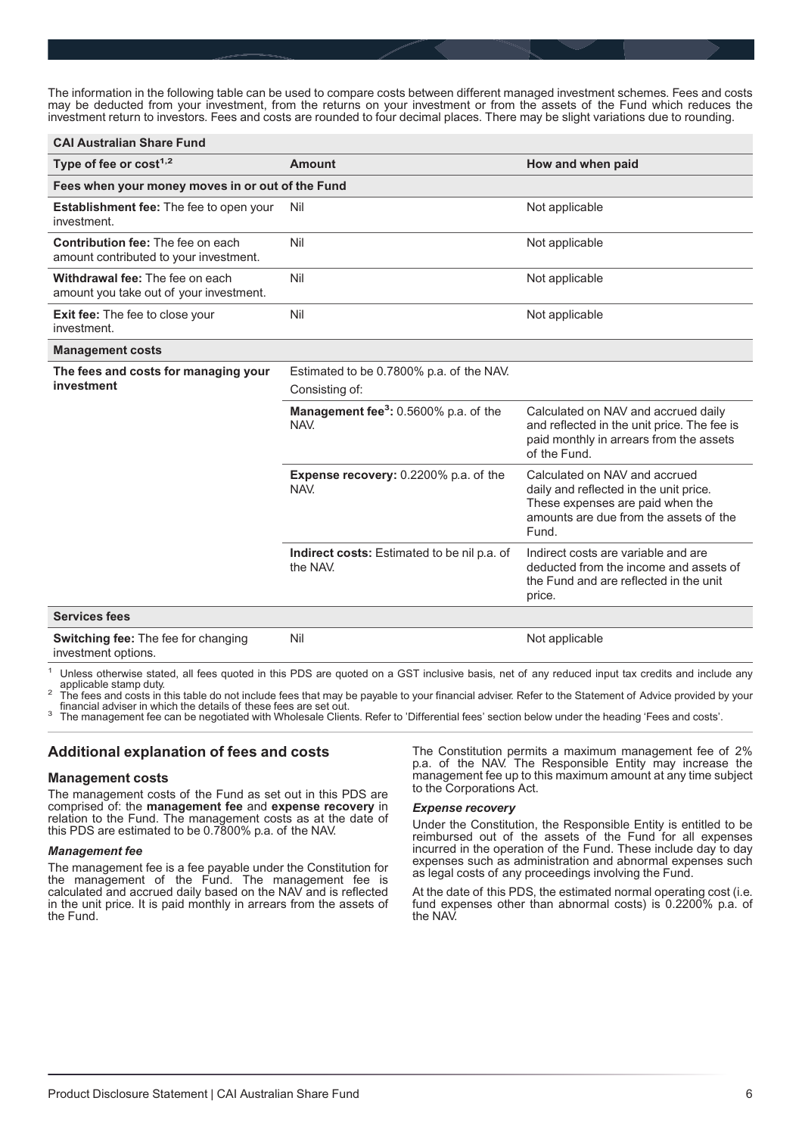The information in the following table can be used to compare costs between different managed investment schemes. Fees and costs may be deducted from your investment, from the returns on your investment or from the assets of the Fund which reduces the investment return to investors. Fees and costs are rounded to four decimal places. There may be slight variations due to rounding.

| <b>CAI Australian Share Fund</b>                                                   |                                                            |                                                                                                                                                                |  |  |
|------------------------------------------------------------------------------------|------------------------------------------------------------|----------------------------------------------------------------------------------------------------------------------------------------------------------------|--|--|
| Type of fee or $cost1,2$                                                           | Amount                                                     | How and when paid                                                                                                                                              |  |  |
| Fees when your money moves in or out of the Fund                                   |                                                            |                                                                                                                                                                |  |  |
| <b>Establishment fee:</b> The fee to open your<br>investment.                      | Nil                                                        | Not applicable                                                                                                                                                 |  |  |
| <b>Contribution fee: The fee on each</b><br>amount contributed to your investment. | Nil                                                        | Not applicable                                                                                                                                                 |  |  |
| Withdrawal fee: The fee on each<br>amount you take out of your investment.         | Nil                                                        | Not applicable                                                                                                                                                 |  |  |
| <b>Exit fee:</b> The fee to close your<br>investment.                              | Nil                                                        | Not applicable                                                                                                                                                 |  |  |
| <b>Management costs</b>                                                            |                                                            |                                                                                                                                                                |  |  |
| The fees and costs for managing your<br>investment                                 | Estimated to be 0.7800% p.a. of the NAV.<br>Consisting of: |                                                                                                                                                                |  |  |
|                                                                                    | Management fee <sup>3</sup> : 0.5600% p.a. of the<br>NAV.  | Calculated on NAV and accrued daily<br>and reflected in the unit price. The fee is<br>paid monthly in arrears from the assets<br>of the Fund.                  |  |  |
|                                                                                    | <b>Expense recovery: 0.2200% p.a. of the</b><br>NAV.       | Calculated on NAV and accrued<br>daily and reflected in the unit price.<br>These expenses are paid when the<br>amounts are due from the assets of the<br>Fund. |  |  |
|                                                                                    | Indirect costs: Estimated to be nil p.a. of<br>the NAV.    | Indirect costs are variable and are<br>deducted from the income and assets of<br>the Fund and are reflected in the unit<br>price.                              |  |  |
| <b>Services fees</b>                                                               |                                                            |                                                                                                                                                                |  |  |
| <b>Switching fee: The fee for changing</b><br>investment options.                  | Nil                                                        | Not applicable                                                                                                                                                 |  |  |

Unless otherwise stated, all fees quoted in this PDS are quoted on a GST inclusive basis, net of any reduced input tax credits and include any applicable stamp duty.

application to this table do not include fees that may be payable to your financial adviser. Refer to the Statement of Advice provided by your<br>
financial adviser in which the details of these fees are set out.

<sup>3</sup> The management fee can be negotiated with Wholesale Clients. Refer to 'Differential fees' section below under the heading 'Fees and costs'.

# **Additional explanation of fees and costs**

# **Management costs**

The management costs of the Fund as set out in this PDS are comprised of: the **management fee** and **expense recovery** in relation to the Fund. The management costs as at the date of this PDS are estimated to be 0.7800% p.a. of the NAV.

#### *Management fee*

The management fee is a fee payable under the Constitution for the management of the Fund. The management fee is calculated and accrued daily based on the NAV and is reflected in the unit price. It is paid monthly in arrears from the assets of the Fund.

The Constitution permits a maximum management fee of 2% p.a. of the NAV. The Responsible Entity may increase the management fee up to this maximum amount at any time subject to the Corporations Act.

# *Expense recovery*

Under the Constitution, the Responsible Entity is entitled to be reimbursed out of the assets of the Fund for all expenses incurred in the operation of the Fund. These include day to day expenses such as administration and abnormal expenses such as legal costs of any proceedings involving the Fund.

At the date of this PDS, the estimated normal operating cost (i.e. fund expenses other than abnormal costs) is 0.2200% p.a. of the NAV.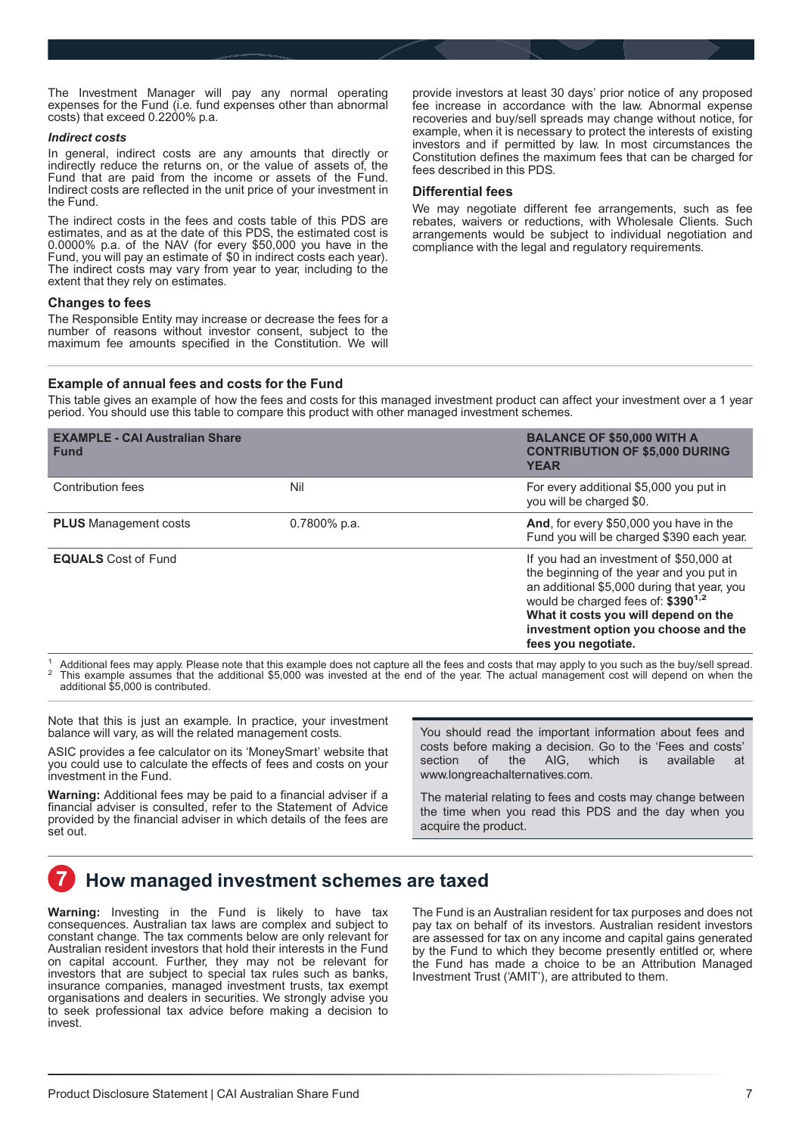<span id="page-6-0"></span>The Investment Manager will pay any normal operating expenses for the Fund (i.e. fund expenses other than abnormal costs) that exceed 0.2200% p.a.

#### *Indirect costs*

In general, indirect costs are any amounts that directly or indirectly reduce the returns on, or the value of assets of, the Fund that are paid from the income or assets of the Fund. Indirect costs are reflected in the unit price of your investment in the Fund.

The indirect costs in the fees and costs table of this PDS are estimates, and as at the date of this PDS, the estimated cost is 0.0000% p.a. of the NAV (for every \$50,000 you have in the Fund, you will pay an estimate of \$0 in indirect costs each year). The indirect costs may vary from year to year, including to the extent that they rely on estimates.

# **Changes to fees**

The Responsible Entity may increase or decrease the fees for a number of reasons without investor consent, subject to the maximum fee amounts specified in the Constitution. We will provide investors at least 30 days' prior notice of any proposed fee increase in accordance with the law. Abnormal expense recoveries and buy/sell spreads may change without notice, for example, when it is necessary to protect the interests of existing investors and if permitted by law. In most circumstances the Constitution defines the maximum fees that can be charged for fees described in this PDS.

# **Differential fees**

We may negotiate different fee arrangements, such as fee rebates, waivers or reductions, with Wholesale Clients. Such arrangements would be subject to individual negotiation and compliance with the legal and regulatory requirements.

# **Example of annual fees and costs for the Fund**

This table gives an example of how the fees and costs for this managed investment product can affect your investment over a 1 year period. You should use this table to compare this product with other managed investment schemes.

| <b>EXAMPLE - CAI Australian Share</b><br><b>Fund</b> |                 | <b>BALANCE OF \$50,000 WITH A</b><br><b>CONTRIBUTION OF \$5,000 DURING</b><br><b>YEAR</b>                                                                                                                                                                                                   |
|------------------------------------------------------|-----------------|---------------------------------------------------------------------------------------------------------------------------------------------------------------------------------------------------------------------------------------------------------------------------------------------|
| Contribution fees                                    | Nil             | For every additional \$5,000 you put in<br>you will be charged \$0.                                                                                                                                                                                                                         |
| <b>PLUS</b> Management costs                         | $0.7800\%$ p.a. | And, for every \$50,000 you have in the<br>Fund you will be charged \$390 each year.                                                                                                                                                                                                        |
| <b>EQUALS</b> Cost of Fund                           |                 | If you had an investment of \$50,000 at<br>the beginning of the year and you put in<br>an additional \$5,000 during that year, you<br>would be charged fees of: \$390 <sup>1,2</sup><br>What it costs you will depend on the<br>investment option you choose and the<br>fees you negotiate. |

 $^1$  Additional fees may apply. Please note that this example does not capture all the fees and costs that may apply to you such as the buy/sell spread.<br><sup>2</sup> This example assumes that the additional \$5,000 was invested at additional \$5,000 is contributed.

Note that this is just an example. In practice, your investment balance will vary, as will the related management costs.

ASIC provides a fee calculator on its 'MoneySmart' website that you could use to calculate the effects of fees and costs on your investment in the Fund.

**Warning:** Additional fees may be paid to a financial adviser if a financial adviser is consulted, refer to the Statement of Advice provided by the financial adviser in which details of the fees are set out.

You should read the important information about fees and costs before making a decision. Go to the 'Fees and costs' section of the AIG, which is available at www.longreachalternatives.com.

The material relating to fees and costs may change between the time when you read this PDS and the day when you acquire the product.

# **How managed investment schemes are taxed**

**Warning:** Investing in the Fund is likely to have tax consequences. Australian tax laws are complex and subject to constant change. The tax comments below are only relevant for Australian resident investors that hold their interests in the Fund on capital account. Further, they may not be relevant for investors that are subject to special tax rules such as banks, insurance companies, managed investment trusts, tax exempt organisations and dealers in securities. We strongly advise you to seek professional tax advice before making a decision to invest.

The Fund is an Australian resident for tax purposes and does not pay tax on behalf of its investors. Australian resident investors are assessed for tax on any income and capital gains generated by the Fund to which they become presently entitled or, where the Fund has made a choice to be an Attribution Managed Investment Trust ('AMIT'), are attributed to them.